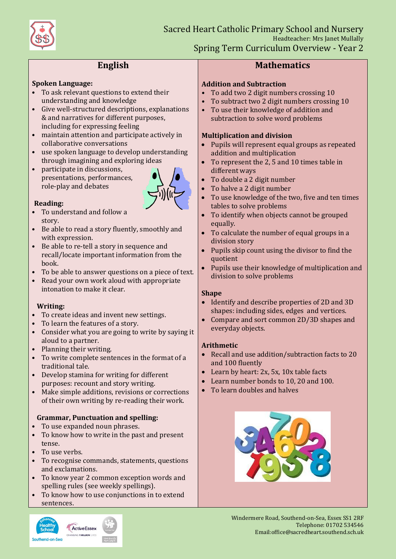

# **English**

#### **Spoken Language:**

- To ask relevant questions to extend their understanding and knowledge
- Give well-structured descriptions, explanations & and narratives for different purposes, including for expressing feeling
- maintain attention and participate actively in collaborative conversations
- use spoken language to develop understanding through imagining and exploring ideas
- participate in discussions, presentations, performances, role-play and debates



#### **Reading:**

- To understand and follow a story.
- Be able to read a story fluently, smoothly and with expression.
- Be able to re-tell a story in sequence and recall/locate important information from the book.
- To be able to answer questions on a piece of text.
- Read your own work aloud with appropriate intonation to make it clear.

#### **Writing:**

- To create ideas and invent new settings.
- To learn the features of a story.
- Consider what you are going to write by saying it aloud to a partner.
- Planning their writing.
- To write complete sentences in the format of a traditional tale.
- Develop stamina for writing for different purposes: recount and story writing.
- Make simple additions, revisions or corrections of their own writing by re-reading their work.

## **Grammar, Punctuation and spelling:**

- To use expanded noun phrases.
- To know how to write in the past and present tense.
- To use verbs.
- To recognise commands, statements, questions and exclamations.
- To know year 2 common exception words and spelling rules (see weekly spellings).
- To know how to use conjunctions in to extend sentences.



## **Mathematics**

#### **Addition and Subtraction**

- To add two 2 digit numbers crossing 10
- To subtract two 2 digit numbers crossing 10
- To use their knowledge of addition and subtraction to solve word problems

### **Multiplication and division**

- Pupils will represent equal groups as repeated addition and multiplication
- To represent the 2, 5 and 10 times table in different ways
- To double a 2 digit number
- To halve a 2 digit number
- To use knowledge of the two, five and ten times tables to solve problems
- To identify when objects cannot be grouped equally.
- To calculate the number of equal groups in a division story
- Pupils skip count using the divisor to find the quotient
- Pupils use their knowledge of multiplication and division to solve problems

## **Shape**

- Identify and describe properties of 2D and 3D shapes: including sides, edges and vertices.
- Compare and sort common 2D/3D shapes and everyday objects.

## **Arithmetic**

- Recall and use addition/subtraction facts to 20 and 100 fluently
- Learn by heart: 2x, 5x, 10x table facts
- Learn number bonds to 10, 20 and 100.
- To learn doubles and halves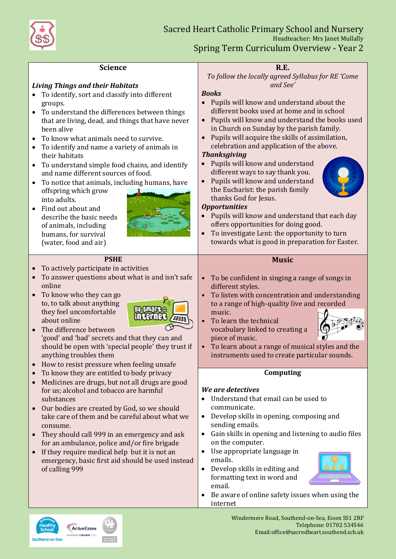

Healthy<br>School

Southend-on-Sea

CHANGING 1 MILLION LIVES

| <b>Science</b><br><b>Living Things and their Habitats</b><br>To identify, sort and classify into different<br>groups.<br>To understand the differences between things<br>$\bullet$<br>that are living, dead, and things that have never<br>been alive<br>To know what animals need to survive.<br>$\bullet$<br>To identify and name a variety of animals in<br>$\bullet$<br>their habitats<br>To understand simple food chains, and identify<br>$\bullet$<br>and name different sources of food.<br>To notice that animals, including humans, have<br>$\bullet$<br>offspring which grow<br>into adults.<br>Find out about and<br>describe the basic needs<br>of animals, including<br>humans, for survival<br>(water, food and air)<br><b>PSHE</b><br>To actively participate in activities<br>$\bullet$<br>To answer questions about what is and isn't safe<br>$\bullet$<br>online<br>To know who they can go<br>$\bullet$<br>to, to talk about anything<br><b>Be smare a</b><br>they feel uncomfortable<br><b>internet</b><br>about online<br>The difference between<br>$\bullet$<br>'good' and 'bad' secrets and that they can and<br>should be open with 'special people' they trust if<br>anything troubles them<br>How to resist pressure when feeling unsafe<br>To know they are entitled to body privacy<br>$\bullet$<br>Medicines are drugs, but not all drugs are good<br>$\bullet$<br>for us; alcohol and tobacco are harmful<br>substances<br>Our bodies are created by God, so we should<br>take care of them and be careful about what we<br>consume.<br>They should call 999 in an emergency and ask<br>$\bullet$<br>for an ambulance, police and/or fire brigade | <b>R.E.</b><br>To follow the locally agreed Syllabus for RE 'Come<br>and See'<br><b>Books</b><br>Pupils will know and understand about the<br>different books used at home and in school<br>Pupils will know and understand the books used<br>$\bullet$<br>in Church on Sunday by the parish family.<br>Pupils will acquire the skills of assimilation,<br>$\bullet$<br>celebration and application of the above.<br><b>Thanksgiving</b><br>Pupils will know and understand<br>different ways to say thank you.<br>Pupils will know and understand<br>$\bullet$<br>the Eucharist: the parish family<br>thanks God for Jesus.<br><b>Opportunities</b><br>Pupils will know and understand that each day<br>$\bullet$<br>offers opportunities for doing good.<br>To investigate Lent: the opportunity to turn<br>$\bullet$<br>towards what is good in preparation for Easter.<br><b>Music</b><br>To be confident in singing a range of songs in<br>$\bullet$<br>different styles.<br>To listen with concentration and understanding<br>$\bullet$<br>to a range of high-quality live and recorded<br>music.<br>To learn the technical<br>$\bullet$<br>vocabulary linked to creating a<br>piece of music.<br>To learn about a range of musical styles and the<br>instruments used to create particular sounds.<br>Computing<br>We are detectives<br>Understand that email can be used to<br>communicate.<br>Develop skills in opening, composing and<br>$\bullet$<br>sending emails.<br>Gain skills in opening and listening to audio files<br>$\bullet$<br>on the computer. |
|----------------------------------------------------------------------------------------------------------------------------------------------------------------------------------------------------------------------------------------------------------------------------------------------------------------------------------------------------------------------------------------------------------------------------------------------------------------------------------------------------------------------------------------------------------------------------------------------------------------------------------------------------------------------------------------------------------------------------------------------------------------------------------------------------------------------------------------------------------------------------------------------------------------------------------------------------------------------------------------------------------------------------------------------------------------------------------------------------------------------------------------------------------------------------------------------------------------------------------------------------------------------------------------------------------------------------------------------------------------------------------------------------------------------------------------------------------------------------------------------------------------------------------------------------------------------------------------------------------------------------------------------------------------------------------|-------------------------------------------------------------------------------------------------------------------------------------------------------------------------------------------------------------------------------------------------------------------------------------------------------------------------------------------------------------------------------------------------------------------------------------------------------------------------------------------------------------------------------------------------------------------------------------------------------------------------------------------------------------------------------------------------------------------------------------------------------------------------------------------------------------------------------------------------------------------------------------------------------------------------------------------------------------------------------------------------------------------------------------------------------------------------------------------------------------------------------------------------------------------------------------------------------------------------------------------------------------------------------------------------------------------------------------------------------------------------------------------------------------------------------------------------------------------------------------------------------------------------------------------------------------------------|
| If they require medical help but it is not an<br>$\bullet$<br>emergency, basic first aid should be used instead<br>of calling 999                                                                                                                                                                                                                                                                                                                                                                                                                                                                                                                                                                                                                                                                                                                                                                                                                                                                                                                                                                                                                                                                                                                                                                                                                                                                                                                                                                                                                                                                                                                                                | Use appropriate language in<br>$\bullet$<br>emails.<br>Develop skills in editing and<br>$\bullet$<br>formatting text in word and<br>email.<br>Be aware of online safety issues when using the<br>$\bullet$                                                                                                                                                                                                                                                                                                                                                                                                                                                                                                                                                                                                                                                                                                                                                                                                                                                                                                                                                                                                                                                                                                                                                                                                                                                                                                                                                              |
| <b>ActiveEssex</b>                                                                                                                                                                                                                                                                                                                                                                                                                                                                                                                                                                                                                                                                                                                                                                                                                                                                                                                                                                                                                                                                                                                                                                                                                                                                                                                                                                                                                                                                                                                                                                                                                                                               | internet<br>Windermere Road, Southend-on-Sea, Essex SS1 2RF<br>Telephone: 01702 534546                                                                                                                                                                                                                                                                                                                                                                                                                                                                                                                                                                                                                                                                                                                                                                                                                                                                                                                                                                                                                                                                                                                                                                                                                                                                                                                                                                                                                                                                                  |